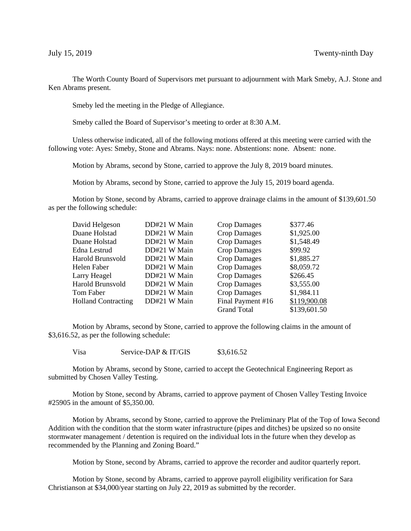The Worth County Board of Supervisors met pursuant to adjournment with Mark Smeby, A.J. Stone and Ken Abrams present.

Smeby led the meeting in the Pledge of Allegiance.

Smeby called the Board of Supervisor's meeting to order at 8:30 A.M.

Unless otherwise indicated, all of the following motions offered at this meeting were carried with the following vote: Ayes: Smeby, Stone and Abrams. Nays: none. Abstentions: none. Absent: none.

Motion by Abrams, second by Stone, carried to approve the July 8, 2019 board minutes.

Motion by Abrams, second by Stone, carried to approve the July 15, 2019 board agenda.

Motion by Stone, second by Abrams, carried to approve drainage claims in the amount of \$139,601.50 as per the following schedule:

| David Helgeson             | DD#21 W Main | <b>Crop Damages</b> | \$377.46     |
|----------------------------|--------------|---------------------|--------------|
|                            |              |                     |              |
| Duane Holstad              | DD#21 W Main | <b>Crop Damages</b> | \$1,925.00   |
| Duane Holstad              | DD#21 W Main | <b>Crop Damages</b> | \$1,548.49   |
| Edna Lestrud               | DD#21 W Main | <b>Crop Damages</b> | \$99.92      |
| Harold Brunsvold           | DD#21 W Main | <b>Crop Damages</b> | \$1,885.27   |
| Helen Faber                | DD#21 W Main | <b>Crop Damages</b> | \$8,059.72   |
| Larry Heagel               | DD#21 W Main | <b>Crop Damages</b> | \$266.45     |
| Harold Brunsvold           | DD#21 W Main | <b>Crop Damages</b> | \$3,555.00   |
| Tom Faber                  | DD#21 W Main | <b>Crop Damages</b> | \$1,984.11   |
| <b>Holland Contracting</b> | DD#21 W Main | Final Payment #16   | \$119,900.08 |
|                            |              | Grand Total         | \$139,601.50 |

Motion by Abrams, second by Stone, carried to approve the following claims in the amount of \$3,616.52, as per the following schedule:

Visa Service-DAP & IT/GIS  $$3.616.52$ 

Motion by Abrams, second by Stone, carried to accept the Geotechnical Engineering Report as submitted by Chosen Valley Testing.

Motion by Stone, second by Abrams, carried to approve payment of Chosen Valley Testing Invoice #25905 in the amount of \$5,350.00.

Motion by Abrams, second by Stone, carried to approve the Preliminary Plat of the Top of Iowa Second Addition with the condition that the storm water infrastructure (pipes and ditches) be upsized so no onsite stormwater management / detention is required on the individual lots in the future when they develop as recommended by the Planning and Zoning Board."

Motion by Stone, second by Abrams, carried to approve the recorder and auditor quarterly report.

Motion by Stone, second by Abrams, carried to approve payroll eligibility verification for Sara Christianson at \$34,000/year starting on July 22, 2019 as submitted by the recorder.